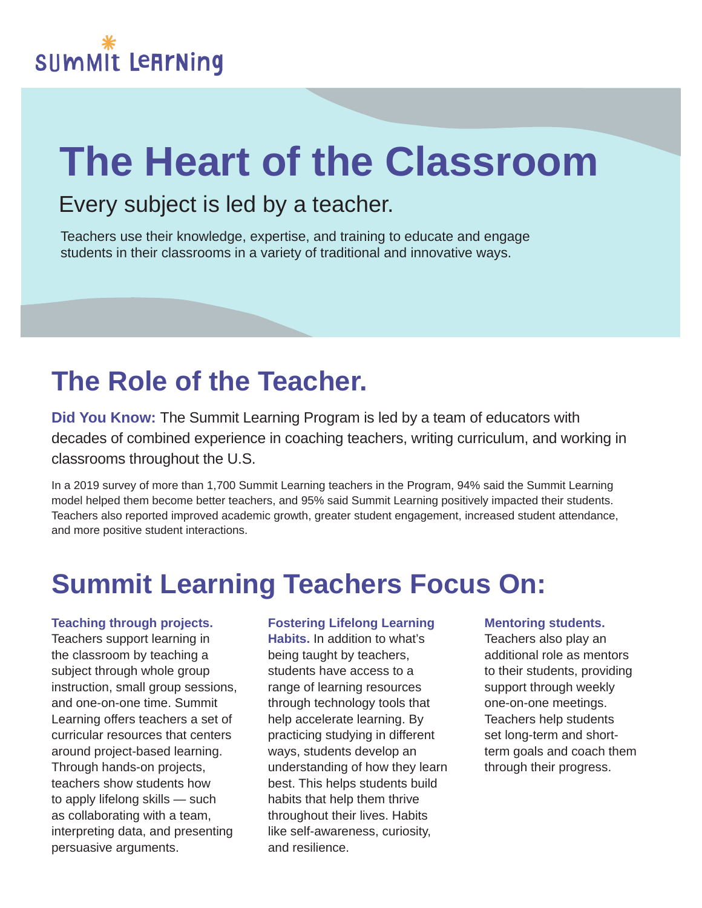# **The Heart of the Classroom**

### Every subject is led by a teacher.

Teachers use their knowledge, expertise, and training to educate and engage students in their classrooms in a variety of traditional and innovative ways.

## **The Role of the Teacher.**

**Did You Know:** The Summit Learning Program is led by a team of educators with decades of combined experience in coaching teachers, writing curriculum, and working in classrooms throughout the U.S.

In a 2019 survey of more than 1,700 Summit Learning teachers in the Program, 94% said the Summit Learning model helped them become better teachers, and 95% said Summit Learning positively impacted their students. Teachers also reported improved academic growth, greater student engagement, increased student attendance, and more positive student interactions.

### **Summit Learning Teachers Focus On:**

#### **Teaching through projects.** Teachers support learning in the classroom by teaching a subject through whole group instruction, small group sessions, and one-on-one time. Summit Learning offers teachers a set of curricular resources that centers around project-based learning. Through hands-on projects, teachers show students how to apply lifelong skills — such as collaborating with a team, interpreting data, and presenting persuasive arguments.

#### **Fostering Lifelong Learning**

**Habits.** In addition to what's being taught by teachers, students have access to a range of learning resources through technology tools that help accelerate learning. By practicing studying in different ways, students develop an understanding of how they learn best. This helps students build habits that help them thrive throughout their lives. Habits like self-awareness, curiosity, and resilience.

#### **Mentoring students.**

Teachers also play an additional role as mentors to their students, providing support through weekly one-on-one meetings. Teachers help students set long-term and shortterm goals and coach them through their progress.